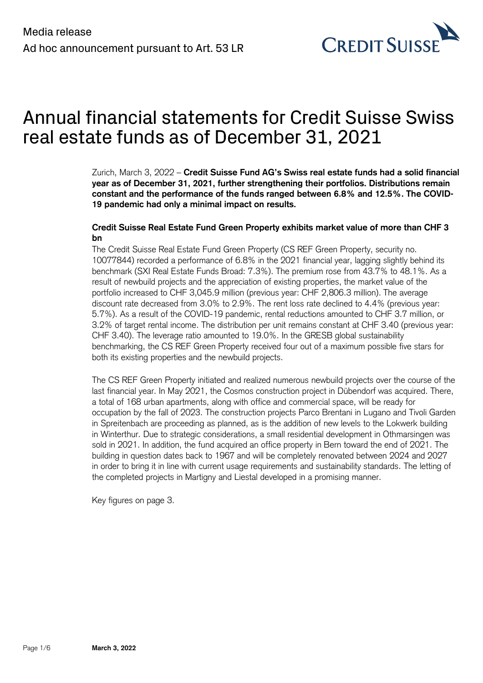

# Annual financial statements for Credit Suisse Swiss real estate funds as of December 31, 2021

Zurich, March 3, 2022 – **Credit Suisse Fund AG's Swiss real estate funds had a solid financial year as of December 31, 2021, further strengthening their portfolios. Distributions remain constant and the performance of the funds ranged between 6.8% and 12.5%. The COVID-19 pandemic had only a minimal impact on results.**

# **Credit Suisse Real Estate Fund Green Property exhibits market value of more than CHF 3 bn**

The Credit Suisse Real Estate Fund Green Property (CS REF Green Property, security no. 10077844) recorded a performance of 6.8% in the 2021 financial year, lagging slightly behind its benchmark (SXI Real Estate Funds Broad: 7.3%). The premium rose from 43.7% to 48.1%. As a result of newbuild projects and the appreciation of existing properties, the market value of the portfolio increased to CHF 3,045.9 million (previous year: CHF 2,806.3 million). The average discount rate decreased from 3.0% to 2.9%. The rent loss rate declined to 4.4% (previous year: 5.7%). As a result of the COVID-19 pandemic, rental reductions amounted to CHF 3.7 million, or 3.2% of target rental income. The distribution per unit remains constant at CHF 3.40 (previous year: CHF 3.40). The leverage ratio amounted to 19.0%. In the GRESB global sustainability benchmarking, the CS REF Green Property received four out of a maximum possible five stars for both its existing properties and the newbuild projects.

The CS REF Green Property initiated and realized numerous newbuild projects over the course of the last financial year. In May 2021, the Cosmos construction project in Dübendorf was acquired. There, a total of 168 urban apartments, along with office and commercial space, will be ready for occupation by the fall of 2023. The construction projects Parco Brentani in Lugano and Tivoli Garden in Spreitenbach are proceeding as planned, as is the addition of new levels to the Lokwerk building in Winterthur. Due to strategic considerations, a small residential development in Othmarsingen was sold in 2021. In addition, the fund acquired an office property in Bern toward the end of 2021. The building in question dates back to 1967 and will be completely renovated between 2024 and 2027 in order to bring it in line with current usage requirements and sustainability standards. The letting of the completed projects in Martigny and Liestal developed in a promising manner.

Key figures on page 3.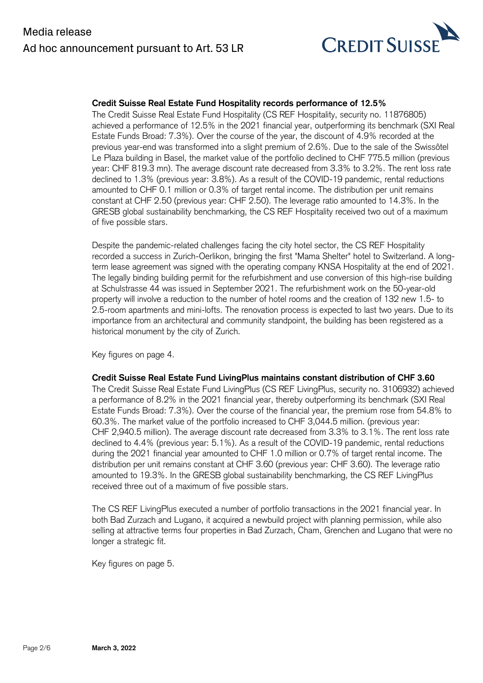

## **Credit Suisse Real Estate Fund Hospitality records performance of 12.5%**

The Credit Suisse Real Estate Fund Hospitality (CS REF Hospitality, security no. 11876805) achieved a performance of 12.5% in the 2021 financial year, outperforming its benchmark (SXI Real Estate Funds Broad: 7.3%). Over the course of the year, the discount of 4.9% recorded at the previous year-end was transformed into a slight premium of 2.6%. Due to the sale of the Swissôtel Le Plaza building in Basel, the market value of the portfolio declined to CHF 775.5 million (previous year: CHF 819.3 mn). The average discount rate decreased from 3.3% to 3.2%. The rent loss rate declined to 1.3% (previous year: 3.8%). As a result of the COVID-19 pandemic, rental reductions amounted to CHF 0.1 million or 0.3% of target rental income. The distribution per unit remains constant at CHF 2.50 (previous year: CHF 2.50). The leverage ratio amounted to 14.3%. In the GRESB global sustainability benchmarking, the CS REF Hospitality received two out of a maximum of five possible stars.

Despite the pandemic-related challenges facing the city hotel sector, the CS REF Hospitality recorded a success in Zurich-Oerlikon, bringing the first "Mama Shelter" hotel to Switzerland. A longterm lease agreement was signed with the operating company KNSA Hospitality at the end of 2021. The legally binding building permit for the refurbishment and use conversion of this high-rise building at Schulstrasse 44 was issued in September 2021. The refurbishment work on the 50-year-old property will involve a reduction to the number of hotel rooms and the creation of 132 new 1.5- to 2.5-room apartments and mini-lofts. The renovation process is expected to last two years. Due to its importance from an architectural and community standpoint, the building has been registered as a historical monument by the city of Zurich.

Key figures on page 4.

### **Credit Suisse Real Estate Fund LivingPlus maintains constant distribution of CHF 3.60**

The Credit Suisse Real Estate Fund LivingPlus (CS REF LivingPlus, security no. 3106932) achieved a performance of 8.2% in the 2021 financial year, thereby outperforming its benchmark (SXI Real Estate Funds Broad: 7.3%). Over the course of the financial year, the premium rose from 54.8% to 60.3%. The market value of the portfolio increased to CHF 3,044.5 million. (previous year: CHF 2,940.5 million). The average discount rate decreased from 3.3% to 3.1%. The rent loss rate declined to 4.4% (previous year: 5.1%). As a result of the COVID-19 pandemic, rental reductions during the 2021 financial year amounted to CHF 1.0 million or 0.7% of target rental income. The distribution per unit remains constant at CHF 3.60 (previous year: CHF 3.60). The leverage ratio amounted to 19.3%. In the GRESB global sustainability benchmarking, the CS REF LivingPlus received three out of a maximum of five possible stars.

The CS REF LivingPlus executed a number of portfolio transactions in the 2021 financial year. In both Bad Zurzach and Lugano, it acquired a newbuild project with planning permission, while also selling at attractive terms four properties in Bad Zurzach, Cham, Grenchen and Lugano that were no longer a strategic fit.

Key figures on page 5.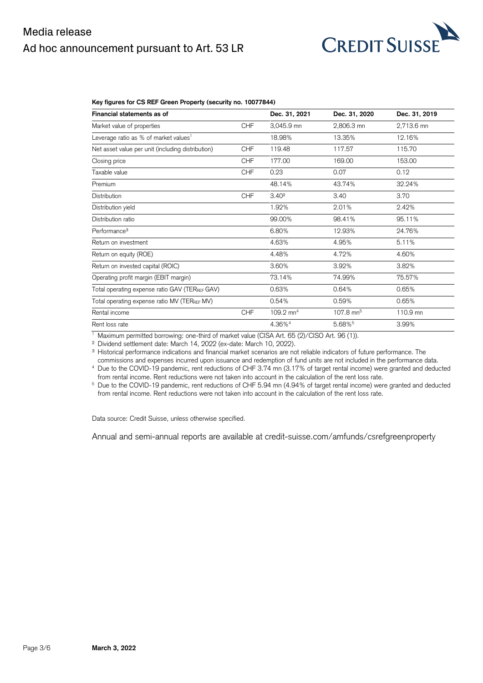# Media release Ad hoc announcement pursuant to Art. 53 LR



#### **Key figures for CS REF Green Property (security no. 10077844)**

| Financial statements as of                        |            | Dec. 31, 2021        | Dec. 31, 2020           | Dec. 31, 2019 |
|---------------------------------------------------|------------|----------------------|-------------------------|---------------|
| Market value of properties                        | <b>CHF</b> | 3,045.9 mn           | 2,806.3 mn              | 2,713.6 mn    |
| Leverage ratio as % of market values <sup>1</sup> |            | 18.98%               | 13.35%                  | 12.16%        |
| Net asset value per unit (including distribution) | <b>CHF</b> | 119.48               | 117.57                  | 115.70        |
| Closing price                                     | <b>CHF</b> | 177.00               | 169.00                  | 153.00        |
| Taxable value                                     | <b>CHF</b> | 0.23                 | 0.07                    | 0.12          |
| Premium                                           |            | 48.14%               | 43.74%                  | 32.24%        |
| <b>Distribution</b>                               | <b>CHF</b> | 3.40 <sup>2</sup>    | 3.40                    | 3.70          |
| Distribution yield                                |            | 1.92%                | 2.01%                   | 2.42%         |
| Distribution ratio                                |            | 99.00%               | 98.41%                  | 95.11%        |
| Performance <sup>3</sup>                          |            | 6.80%                | 12.93%                  | 24.76%        |
| Return on investment                              |            | 4.63%                | 4.95%                   | 5.11%         |
| Return on equity (ROE)                            |            | 4.48%                | 4.72%                   | 4.60%         |
| Return on invested capital (ROIC)                 |            | 3.60%                | 3.92%                   | 3.82%         |
| Operating profit margin (EBIT margin)             |            | 73.14%               | 74.99%                  | 75.57%        |
| Total operating expense ratio GAV (TERREF GAV)    |            | 0.63%                | 0.64%                   | 0.65%         |
| Total operating expense ratio MV (TERREF MV)      |            | 0.54%                | 0.59%                   | 0.65%         |
| Rental income                                     | <b>CHF</b> | $109.2 \text{ mm}^4$ | $107.8$ mn <sup>5</sup> | 110.9 mn      |
| Rent loss rate                                    |            | 4.36% <sup>4</sup>   | 5.68% <sup>5</sup>      | 3.99%         |

<sup>1</sup> Maximum permitted borrowing: one-third of market value (CISA Art. 65 (2)/CISO Art. 96 (1)).

² Dividend settlement date: March 14, 2022 (ex-date: March 10, 2022).

<sup>3</sup> Historical performance indications and financial market scenarios are not reliable indicators of future performance. The

commissions and expenses incurred upon issuance and redemption of fund units are not included in the performance data. <sup>4</sup> Due to the COVID-19 pandemic, rent reductions of CHF 3.74 mn (3.17% of target rental income) were granted and deducted

from rental income. Rent reductions were not taken into account in the calculation of the rent loss rate.<br><sup>5</sup> Due to the COVID-19 pandemic, rent reductions of CHF 5.94 mn (4.94% of target rental income) were granted and de

from rental income. Rent reductions were not taken into account in the calculation of the rent loss rate.

Data source: Credit Suisse, unless otherwise specified.

Annual and semi-annual reports are available at [credit-suisse.com/amfunds/csrefgreenproperty](https://amfunds.credit-suisse.com/ch/en/retail/fund/detail/CH0100778445)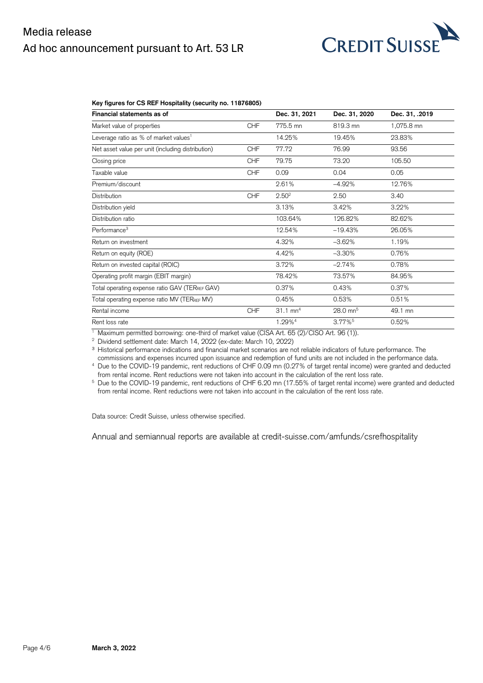# Media release Ad hoc announcement pursuant to Art. 53 LR



#### **Key figures for CS REF Hospitality (security no. 11876805)**

| Financial statements as of                        |            | Dec. 31, 2021       | Dec. 31, 2020         | Dec. 31, .2019 |
|---------------------------------------------------|------------|---------------------|-----------------------|----------------|
| Market value of properties                        | <b>CHF</b> | 775.5 mn            | 819.3 mn              | 1,075.8 mn     |
| Leverage ratio as % of market values <sup>1</sup> |            | 14.25%              | 19.45%                | 23.83%         |
| Net asset value per unit (including distribution) | <b>CHF</b> | 77.72               | 76.99                 | 93.56          |
| Closing price                                     | <b>CHF</b> | 79.75               | 73.20                 | 105.50         |
| Taxable value                                     | <b>CHF</b> | 0.09                | 0.04                  | 0.05           |
| Premium/discount                                  |            | 2.61%               | $-4.92%$              | 12.76%         |
| <b>Distribution</b>                               | <b>CHF</b> | 2.50 <sup>2</sup>   | 2.50                  | 3.40           |
| Distribution yield                                |            | 3.13%               | 3.42%                 | 3.22%          |
| Distribution ratio                                |            | 103.64%             | 126.82%               | 82.62%         |
| Performance <sup>3</sup>                          |            | 12.54%              | $-19.43%$             | 26.05%         |
| Return on investment                              |            | 4.32%               | $-3.62%$              | 1.19%          |
| Return on equity (ROE)                            |            | 4.42%               | $-3.30%$              | 0.76%          |
| Return on invested capital (ROIC)                 |            | 3.72%               | $-2.74%$              | 0.78%          |
| Operating profit margin (EBIT margin)             |            | 78.42%              | 73.57%                | 84.95%         |
| Total operating expense ratio GAV (TERREF GAV)    |            | 0.37%               | 0.43%                 | 0.37%          |
| Total operating expense ratio MV (TERREF MV)      |            | 0.45%               | 0.53%                 | 0.51%          |
| Rental income                                     | <b>CHF</b> | $31.1 \text{ mm}^4$ | $28.0 \text{ mm}^5$   | 49.1 mn        |
| Rent loss rate                                    |            | 1.29% <sup>4</sup>  | $3.77\%$ <sup>5</sup> | 0.52%          |

<sup>1</sup> Maximum permitted borrowing: one-third of market value (CISA Art. 65 (2)/CISO Art. 96 (1)).

<sup>2</sup> Dividend settlement date: March 14, 2022 (ex-date: March 10, 2022)

<sup>3</sup> Historical performance indications and financial market scenarios are not reliable indicators of future performance. The

commissions and expenses incurred upon issuance and redemption of fund units are not included in the performance data.

<sup>4</sup> Due to the COVID-19 pandemic, rent reductions of CHF 0.09 mn (0.27% of target rental income) were granted and deducted from rental income. Rent reductions were not taken into account in the calculation of the rent loss rate.<br><sup>5</sup> Due to the COVID-19 pandemic, rent reductions of CHF 6.20 mn (17.55% of target rental income) were granted and d

from rental income. Rent reductions were not taken into account in the calculation of the rent loss rate.

Data source: Credit Suisse, unless otherwise specified.

Annual and semiannual reports are available at credit-suisse.com/amfunds/csrefhospitality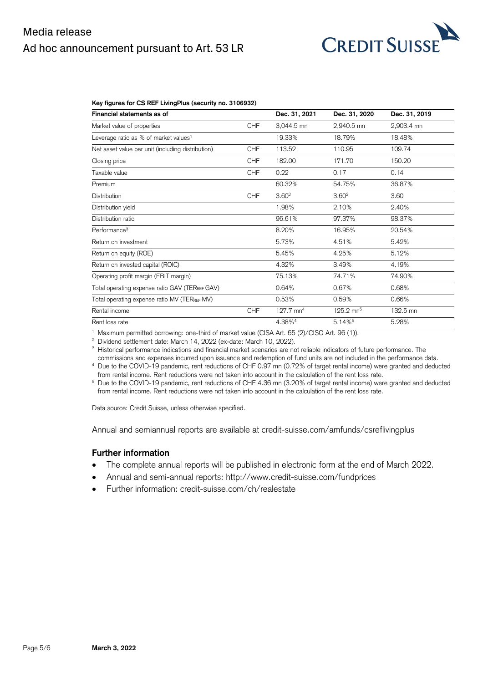# Media release Ad hoc announcement pursuant to Art. 53 LR



#### **Key figures for CS REF LivingPlus (security no. 3106932)**

| Financial statements as of                        |            | Dec. 31, 2021           | Dec. 31, 2020         | Dec. 31, 2019 |
|---------------------------------------------------|------------|-------------------------|-----------------------|---------------|
| Market value of properties                        | <b>CHF</b> | 3,044.5 mn              | 2,940.5 mn            | 2,903.4 mn    |
| Leverage ratio as % of market values <sup>1</sup> |            | 19.33%                  | 18.79%                | 18.48%        |
| Net asset value per unit (including distribution) | <b>CHF</b> | 113.52                  | 110.95                | 109.74        |
| Closing price                                     | <b>CHF</b> | 182.00                  | 171.70                | 150.20        |
| Taxable value                                     | <b>CHF</b> | 0.22                    | 0.17                  | 0.14          |
| Premium                                           |            | 60.32%                  | 54.75%                | 36.87%        |
| Distribution                                      | <b>CHF</b> | 3.60 <sup>2</sup>       | 3.60 <sup>2</sup>     | 3.60          |
| Distribution yield                                |            | 1.98%                   | 2.10%                 | 2.40%         |
| Distribution ratio                                |            | 96.61%                  | 97.37%                | 98.37%        |
| Performance <sup>3</sup>                          |            | 8.20%                   | 16.95%                | 20.54%        |
| Return on investment                              |            | 5.73%                   | 4.51%                 | 5.42%         |
| Return on equity (ROE)                            |            | 5.45%                   | 4.25%                 | 5.12%         |
| Return on invested capital (ROIC)                 |            | 4.32%                   | 3.49%                 | 4.19%         |
| Operating profit margin (EBIT margin)             |            | 75.13%                  | 74.71%                | 74.90%        |
| Total operating expense ratio GAV (TERREF GAV)    |            | 0.64%                   | 0.67%                 | 0.68%         |
| Total operating expense ratio MV (TERREF MV)      |            | 0.53%                   | 0.59%                 | 0.66%         |
| Rental income                                     | <b>CHF</b> | $127.7$ mn <sup>4</sup> | $125.2 \text{ mm}^5$  | 132.5 mn      |
| Rent loss rate                                    |            | 4.38% <sup>4</sup>      | $5.14\%$ <sup>5</sup> | 5.28%         |

<sup>1</sup> Maximum permitted borrowing: one-third of market value (CISA Art. 65 (2)/CISO Art. 96 (1)).

<sup>2</sup> Dividend settlement date: March 14, 2022 (ex-date: March 10, 2022).

<sup>3</sup> Historical performance indications and financial market scenarios are not reliable indicators of future performance. The

commissions and expenses incurred upon issuance and redemption of fund units are not included in the performance data.

<sup>4</sup> Due to the COVID-19 pandemic, rent reductions of CHF 0.97 mn (0.72% of target rental income) were granted and deducted from rental income. Rent reductions were not taken into account in the calculation of the rent loss rate.

<sup>5</sup> Due to the COVID-19 pandemic, rent reductions of CHF 4.36 mn (3.20% of target rental income) were granted and deducted from rental income. Rent reductions were not taken into account in the calculation of the rent loss rate.

Data source: Credit Suisse, unless otherwise specified.

Annual and semiannual reports are available at [credit-suisse.com/amfunds/csreflivingplus](https://amfunds.credit-suisse.com/ch/en/retail/fund/detail/CH0031069328)

### **Further information**

- The complete annual reports will be published in electronic form at the end of March 2022.
- Annual and semi-annual reports: http://www.credit-suisse.com/fundprices
- Further information: [credit-suisse.com/ch/realestate](https://am.credit-suisse.com/ch/de/asset-management/investment-solutions/real-estate.html)